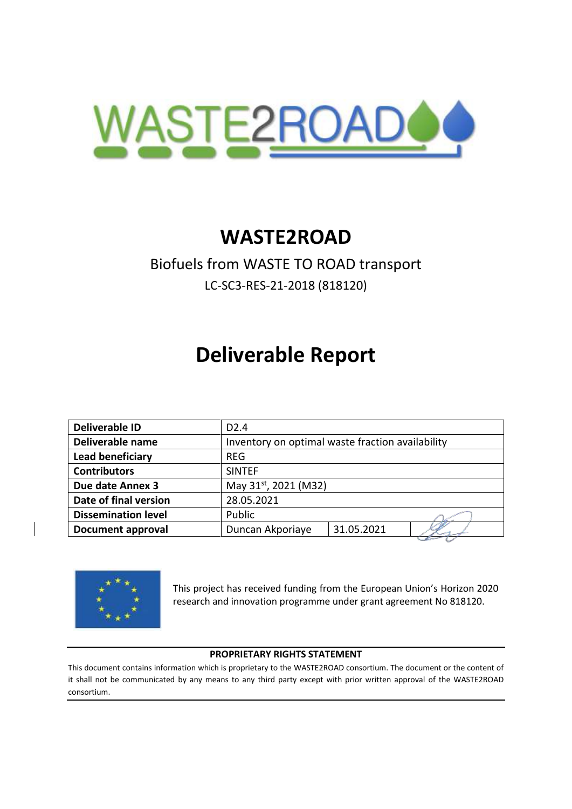

# **WASTE2ROAD**

## Biofuels from WASTE TO ROAD transport LC-SC3-RES-21-2018 (818120)

# **Deliverable Report**

| <b>Deliverable ID</b>      | D <sub>2.4</sub>                                 |  |  |
|----------------------------|--------------------------------------------------|--|--|
| Deliverable name           | Inventory on optimal waste fraction availability |  |  |
| <b>Lead beneficiary</b>    | <b>REG</b>                                       |  |  |
| <b>Contributors</b>        | <b>SINTEF</b>                                    |  |  |
| Due date Annex 3           | May 31 <sup>st</sup> , 2021 (M32)                |  |  |
| Date of final version      | 28.05.2021                                       |  |  |
| <b>Dissemination level</b> | Public                                           |  |  |
| <b>Document approval</b>   | 31.05.2021<br>Duncan Akporiaye                   |  |  |
|                            |                                                  |  |  |



This project has received funding from the European Union's Horizon 2020 research and innovation programme under grant agreement No 818120.

#### **PROPRIETARY RIGHTS STATEMENT**

This document contains information which is proprietary to the WASTE2ROAD consortium. The document or the content of it shall not be communicated by any means to any third party except with prior written approval of the WASTE2ROAD consortium.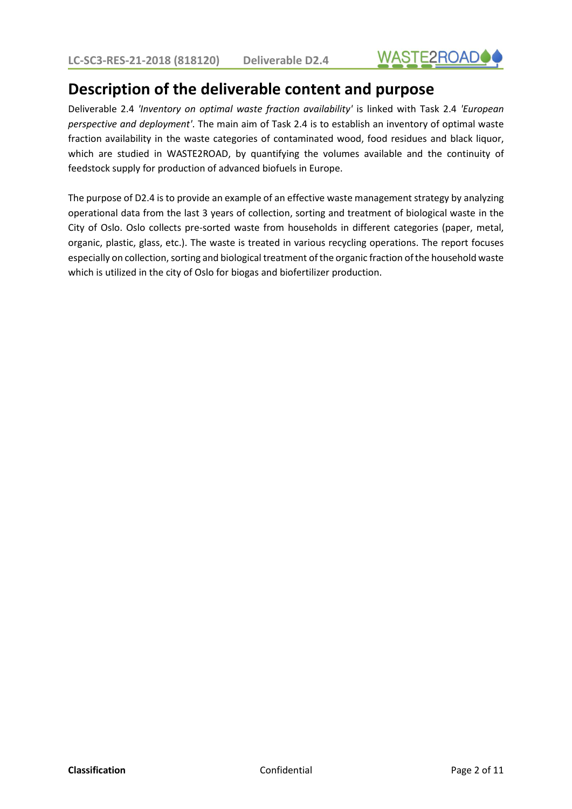

## **Description of the deliverable content and purpose**

Deliverable 2.4 *'Inventory on optimal waste fraction availability'* is linked with Task 2.4 *'European perspective and deployment'*. The main aim of Task 2.4 is to establish an inventory of optimal waste fraction availability in the waste categories of contaminated wood, food residues and black liquor, which are studied in WASTE2ROAD, by quantifying the volumes available and the continuity of feedstock supply for production of advanced biofuels in Europe.

The purpose of D2.4 is to provide an example of an effective waste management strategy by analyzing operational data from the last 3 years of collection, sorting and treatment of biological waste in the City of Oslo. Oslo collects pre-sorted waste from households in different categories (paper, metal, organic, plastic, glass, etc.). The waste is treated in various recycling operations. The report focuses especially on collection, sorting and biological treatment of the organic fraction of the household waste which is utilized in the city of Oslo for biogas and biofertilizer production.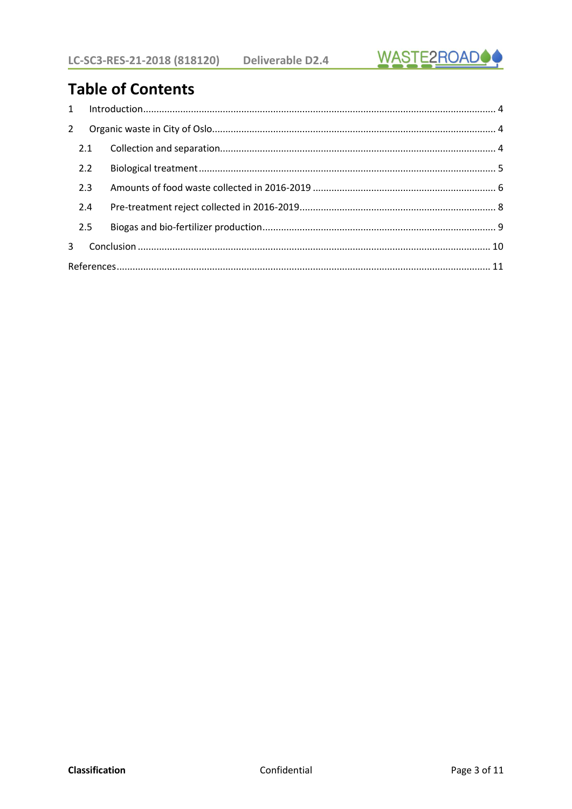

## **Table of Contents**

| $2^{\circ}$  |     |  |
|--------------|-----|--|
|              | 2.1 |  |
|              | 2.2 |  |
|              | 2.3 |  |
|              | 2.4 |  |
|              | 2.5 |  |
| $\mathbf{3}$ |     |  |
|              |     |  |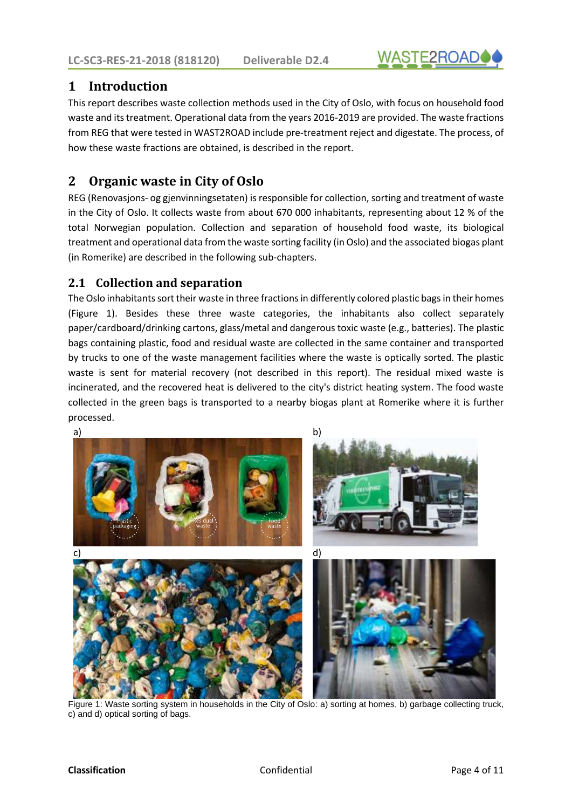# **WASTE2ROAD**

### <span id="page-3-0"></span>**1 Introduction**

This report describes waste collection methods used in the City of Oslo, with focus on household food waste and its treatment. Operational data from the years 2016-2019 are provided. The waste fractions from REG that were tested in WAST2ROAD include pre-treatment reject and digestate. The process, of how these waste fractions are obtained, is described in the report.

### <span id="page-3-1"></span>**2 Organic waste in City of Oslo**

REG (Renovasjons- og gjenvinningsetaten) is responsible for collection, sorting and treatment of waste in the City of Oslo. It collects waste from about 670 000 inhabitants, representing about 12 % of the total Norwegian population. Collection and separation of household food waste, its biological treatment and operational data from the waste sorting facility (in Oslo) and the associated biogas plant (in Romerike) are described in the following sub-chapters.

#### <span id="page-3-2"></span>**2.1 Collection and separation**

The Oslo inhabitants sort their waste in three fractions in differently colored plastic bags in their homes [\(Figure 1\)](#page-3-3). Besides these three waste categories, the inhabitants also collect separately paper/cardboard/drinking cartons, glass/metal and dangerous toxic waste (e.g., batteries). The plastic bags containing plastic, food and residual waste are collected in the same container and transported by trucks to one of the waste management facilities where the waste is optically sorted. The plastic waste is sent for material recovery (not described in this report). The residual mixed waste is incinerated, and the recovered heat is delivered to the city's district heating system. The food waste collected in the green bags is transported to a nearby biogas plant at Romerike where it is further processed.

<span id="page-3-3"></span>

Figure 1: Waste sorting system in households in the City of Oslo: a) sorting at homes, b) garbage collecting truck, c) and d) optical sorting of bags.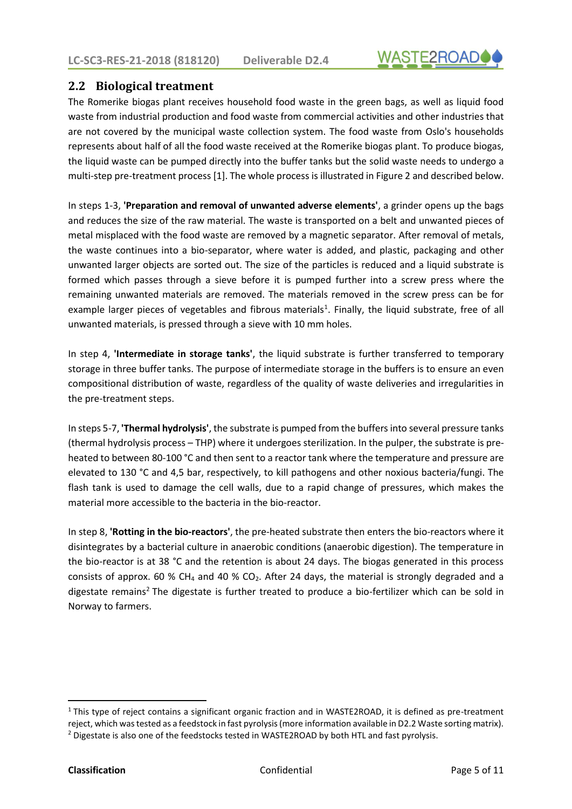

#### <span id="page-4-0"></span>**2.2 Biological treatment**

The Romerike biogas plant receives household food waste in the green bags, as well as liquid food waste from industrial production and food waste from commercial activities and other industries that are not covered by the municipal waste collection system. The food waste from Oslo's households represents about half of all the food waste received at the Romerike biogas plant. To produce biogas, the liquid waste can be pumped directly into the buffer tanks but the solid waste needs to undergo a multi-step pre-treatment process [\[1\]](#page-10-1). The whole process is illustrated i[n Figure 2](#page-5-1) and described below.

In steps 1-3, **'Preparation and removal of unwanted adverse elements'**, a grinder opens up the bags and reduces the size of the raw material. The waste is transported on a belt and unwanted pieces of metal misplaced with the food waste are removed by a magnetic separator. After removal of metals, the waste continues into a bio-separator, where water is added, and plastic, packaging and other unwanted larger objects are sorted out. The size of the particles is reduced and a liquid substrate is formed which passes through a sieve before it is pumped further into a screw press where the remaining unwanted materials are removed. The materials removed in the screw press can be for example larger pieces of vegetables and fibrous materials<sup>1</sup>. Finally, the liquid substrate, free of all unwanted materials, is pressed through a sieve with 10 mm holes.

In step 4, **'Intermediate in storage tanks'**, the liquid substrate is further transferred to temporary storage in three buffer tanks. The purpose of intermediate storage in the buffers is to ensure an even compositional distribution of waste, regardless of the quality of waste deliveries and irregularities in the pre-treatment steps.

In steps 5-7, **'Thermal hydrolysis'**, the substrate is pumped from the buffers into several pressure tanks (thermal hydrolysis process – THP) where it undergoes sterilization. In the pulper, the substrate is preheated to between 80-100 °C and then sent to a reactor tank where the temperature and pressure are elevated to 130 °C and 4,5 bar, respectively, to kill pathogens and other noxious bacteria/fungi. The flash tank is used to damage the cell walls, due to a rapid change of pressures, which makes the material more accessible to the bacteria in the bio-reactor.

In step 8, **'Rotting in the bio-reactors'**, the pre-heated substrate then enters the bio-reactors where it disintegrates by a bacterial culture in anaerobic conditions (anaerobic digestion). The temperature in the bio-reactor is at 38 °C and the retention is about 24 days. The biogas generated in this process consists of approx. 60 % CH<sub>4</sub> and 40 % CO<sub>2</sub>. After 24 days, the material is strongly degraded and a digestate remains<sup>2</sup> The digestate is further treated to produce a bio-fertilizer which can be sold in Norway to farmers.

 $1$ This type of reject contains a significant organic fraction and in WASTE2ROAD, it is defined as pre-treatment reject, which was tested as a feedstock in fast pyrolysis (more information available in D2.2 Waste sorting matrix). <sup>2</sup> Digestate is also one of the feedstocks tested in WASTE2ROAD by both HTL and fast pyrolysis.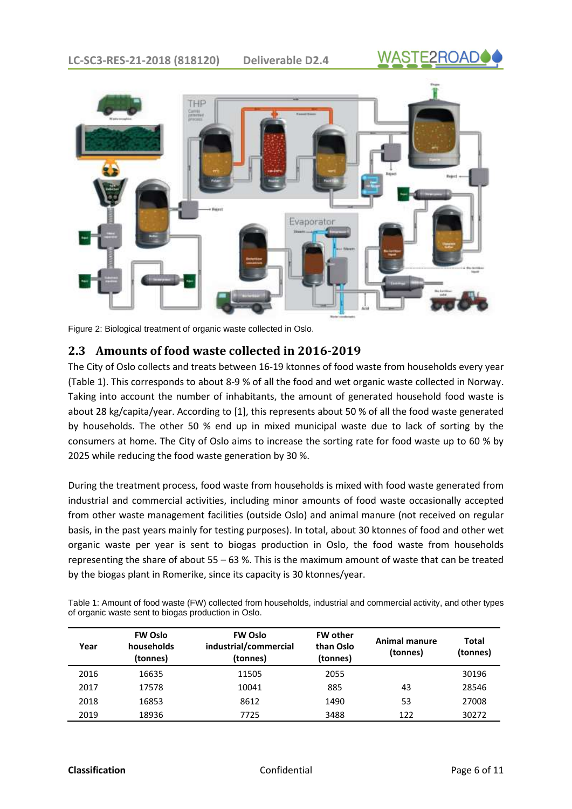



Figure 2: Biological treatment of organic waste collected in Oslo.

#### <span id="page-5-1"></span><span id="page-5-0"></span>**2.3 Amounts of food waste collected in 2016-2019**

The City of Oslo collects and treats between 16-19 ktonnes of food waste from households every year [\(Table 1\)](#page-5-2). This corresponds to about 8-9 % of all the food and wet organic waste collected in Norway. Taking into account the number of inhabitants, the amount of generated household food waste is about 28 kg/capita/year. According to [\[1\]](#page-10-1), this represents about 50 % of all the food waste generated by households. The other 50 % end up in mixed municipal waste due to lack of sorting by the consumers at home. The City of Oslo aims to increase the sorting rate for food waste up to 60 % by 2025 while reducing the food waste generation by 30 %.

During the treatment process, food waste from households is mixed with food waste generated from industrial and commercial activities, including minor amounts of food waste occasionally accepted from other waste management facilities (outside Oslo) and animal manure (not received on regular basis, in the past years mainly for testing purposes). In total, about 30 ktonnes of food and other wet organic waste per year is sent to biogas production in Oslo, the food waste from households representing the share of about 55 – 63 %. This is the maximum amount of waste that can be treated by the biogas plant in Romerike, since its capacity is 30 ktonnes/year.

<span id="page-5-2"></span>Table 1: Amount of food waste (FW) collected from households, industrial and commercial activity, and other types of organic waste sent to biogas production in Oslo.

| Year | <b>FW Oslo</b><br>households<br>(tonnes) | <b>FW Oslo</b><br>industrial/commercial<br>(tonnes) | <b>FW other</b><br>than Oslo<br>(tonnes) | Animal manure<br>(tonnes) | Total<br>(tonnes) |
|------|------------------------------------------|-----------------------------------------------------|------------------------------------------|---------------------------|-------------------|
| 2016 | 16635                                    | 11505                                               | 2055                                     |                           | 30196             |
| 2017 | 17578                                    | 10041                                               | 885                                      | 43                        | 28546             |
| 2018 | 16853                                    | 8612                                                | 1490                                     | 53                        | 27008             |
| 2019 | 18936                                    | 7725                                                | 3488                                     | 122                       | 30272             |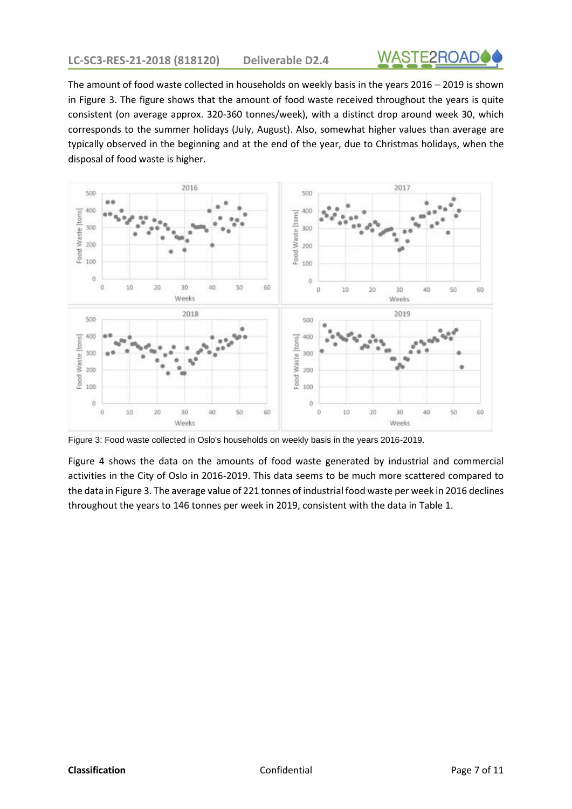

The amount of food waste collected in households on weekly basis in the years 2016 – 2019 is shown in [Figure 3.](#page-6-0) The figure shows that the amount of food waste received throughout the years is quite consistent (on average approx. 320-360 tonnes/week), with a distinct drop around week 30, which corresponds to the summer holidays (July, August). Also, somewhat higher values than average are typically observed in the beginning and at the end of the year, due to Christmas holidays, when the disposal of food waste is higher.



<span id="page-6-0"></span>Figure 3: Food waste collected in Oslo's households on weekly basis in the years 2016-2019.

[Figure 4](#page-7-1) shows the data on the amounts of food waste generated by industrial and commercial activities in the City of Oslo in 2016-2019. This data seems to be much more scattered compared to the data i[n Figure 3.](#page-6-0) The average value of 221 tonnes of industrial food waste per week in 2016 declines throughout the years to 146 tonnes per week in 2019, consistent with the data i[n Table 1.](#page-5-2)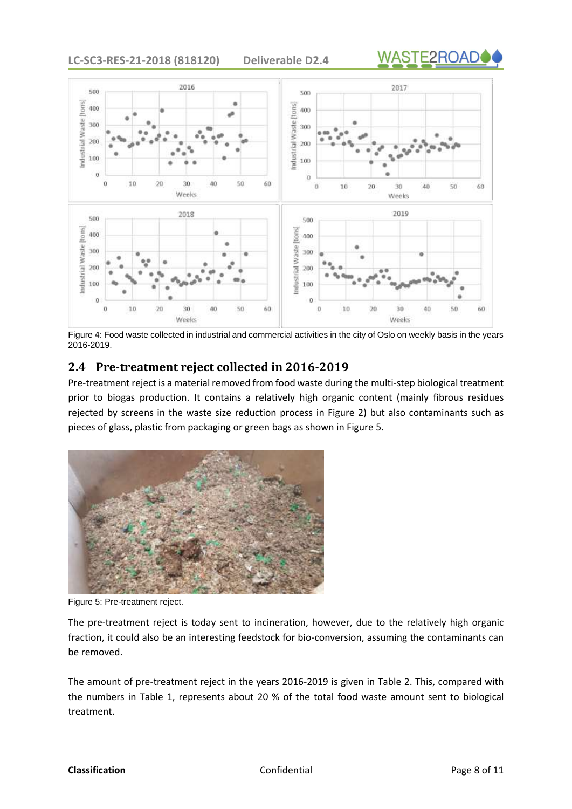**LC-SC3-RES-21-2018 (818120) Deliverable D2.4**





<span id="page-7-1"></span>Figure 4: Food waste collected in industrial and commercial activities in the city of Oslo on weekly basis in the years 2016-2019.

#### <span id="page-7-0"></span>**2.4 Pre-treatment reject collected in 2016-2019**

Pre-treatment reject is a material removed from food waste during the multi-step biological treatment prior to biogas production. It contains a relatively high organic content (mainly fibrous residues rejected by screens in the waste size reduction process in [Figure 2\)](#page-5-1) but also contaminants such as pieces of glass, plastic from packaging or green bags as shown in [Figure 5.](#page-7-2)



Figure 5: Pre-treatment reject.

<span id="page-7-2"></span>The pre-treatment reject is today sent to incineration, however, due to the relatively high organic fraction, it could also be an interesting feedstock for bio-conversion, assuming the contaminants can be removed.

The amount of pre-treatment reject in the years 2016-2019 is given in [Table 2.](#page-8-1) This, compared with the numbers in [Table 1,](#page-5-2) represents about 20 % of the total food waste amount sent to biological treatment.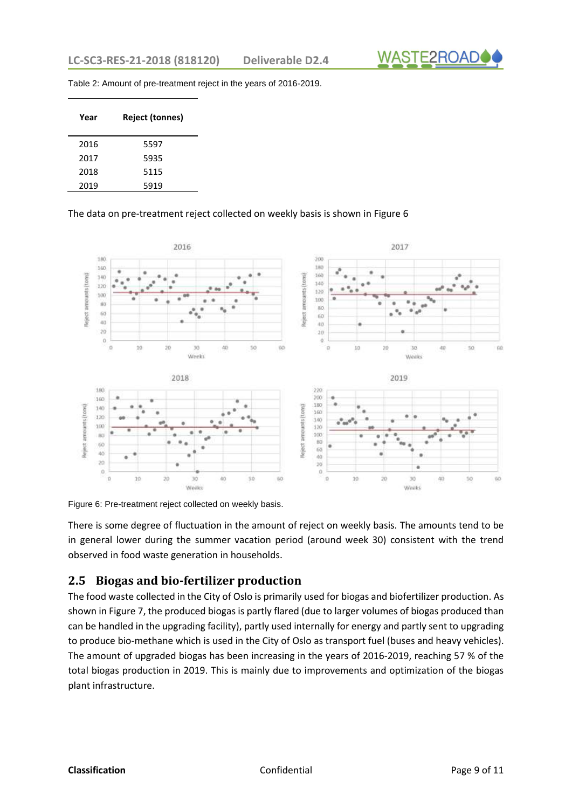

<span id="page-8-1"></span>Table 2: Amount of pre-treatment reject in the years of 2016-2019.

| Year | <b>Reject (tonnes)</b> |
|------|------------------------|
| 2016 | 5597                   |
| 2017 | 5935                   |
| 2018 | 5115                   |
| 2019 | 5919                   |

#### The data on pre-treatment reject collected on weekly basis is shown in [Figure 6](#page-8-2)



<span id="page-8-2"></span>Figure 6: Pre-treatment reject collected on weekly basis.

There is some degree of fluctuation in the amount of reject on weekly basis. The amounts tend to be in general lower during the summer vacation period (around week 30) consistent with the trend observed in food waste generation in households.

#### <span id="page-8-0"></span>**2.5 Biogas and bio-fertilizer production**

The food waste collected in the City of Oslo is primarily used for biogas and biofertilizer production. As shown i[n Figure 7,](#page-9-1) the produced biogas is partly flared (due to larger volumes of biogas produced than can be handled in the upgrading facility), partly used internally for energy and partly sent to upgrading to produce bio-methane which is used in the City of Oslo as transport fuel (buses and heavy vehicles). The amount of upgraded biogas has been increasing in the years of 2016-2019, reaching 57 % of the total biogas production in 2019. This is mainly due to improvements and optimization of the biogas plant infrastructure.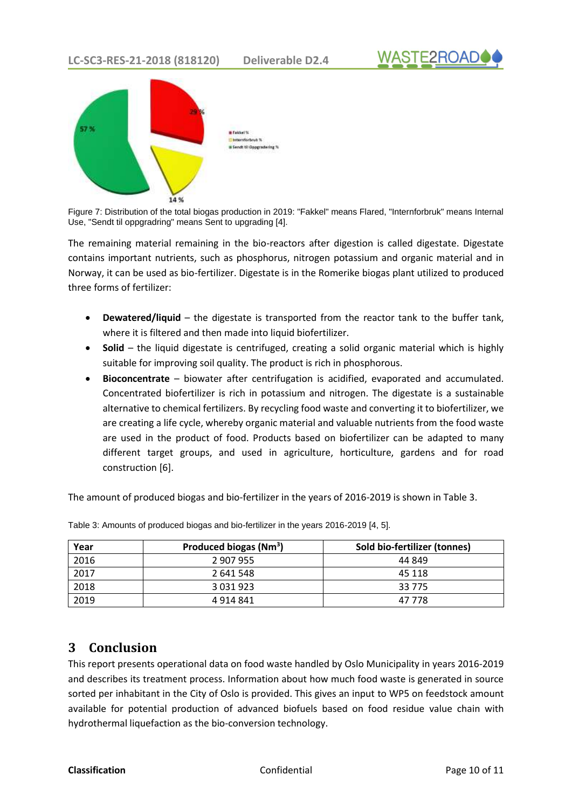



Figure 7: Distribution of the total biogas production in 2019: "Fakkel" means Flared, "Internforbruk" means Internal Use, "Sendt til oppgradring" means Sent to upgrading [\[4\]](#page-10-2).

<span id="page-9-1"></span>The remaining material remaining in the bio-reactors after digestion is called digestate. Digestate contains important nutrients, such as phosphorus, nitrogen potassium and organic material and in Norway, it can be used as bio-fertilizer. Digestate is in the Romerike biogas plant utilized to produced three forms of fertilizer:

- **Dewatered/liquid** the digestate is transported from the reactor tank to the buffer tank, where it is filtered and then made into liquid biofertilizer.
- **Solid**  the liquid digestate is centrifuged, creating a solid organic material which is highly suitable for improving soil quality. The product is rich in phosphorous.
- **Bioconcentrate**  biowater after centrifugation is acidified, evaporated and accumulated. Concentrated biofertilizer is rich in potassium and nitrogen. The digestate is a sustainable alternative to chemical fertilizers. By recycling food waste and converting it to biofertilizer, we are creating a life cycle, whereby organic material and valuable nutrients from the food waste are used in the product of food. Products based on biofertilizer can be adapted to many different target groups, and used in agriculture, horticulture, gardens and for road construction [\[6\]](#page-10-3).

The amount of produced biogas and bio-fertilizer in the years of 2016-2019 is shown i[n Table 3.](#page-9-2)

| Year | Produced biogas (Nm <sup>3</sup> ) | Sold bio-fertilizer (tonnes) |
|------|------------------------------------|------------------------------|
| 2016 | 2 907 955                          | 44 849                       |
| 2017 | 2 641 548                          | 45 118                       |
| 2018 | 3 0 3 1 9 2 3                      | 33 7 7 5                     |
| 2019 | 4 9 14 8 41                        | 47 778                       |

<span id="page-9-2"></span>Table 3: Amounts of produced biogas and bio-fertilizer in the years 2016-2019 [\[4,](#page-10-2) [5\]](#page-10-4).

### <span id="page-9-0"></span>**3 Conclusion**

This report presents operational data on food waste handled by Oslo Municipality in years 2016-2019 and describes its treatment process. Information about how much food waste is generated in source sorted per inhabitant in the City of Oslo is provided. This gives an input to WP5 on feedstock amount available for potential production of advanced biofuels based on food residue value chain with hydrothermal liquefaction as the bio-conversion technology.